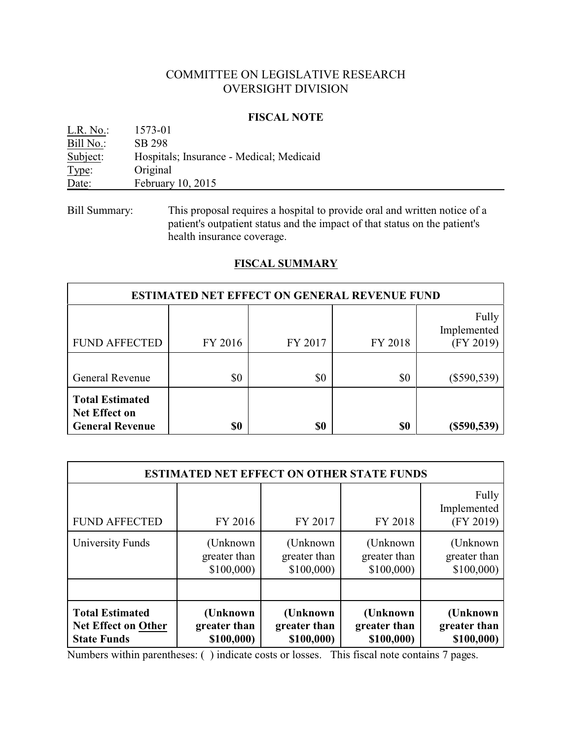# COMMITTEE ON LEGISLATIVE RESEARCH OVERSIGHT DIVISION

#### **FISCAL NOTE**

| L.R. No.: | 1573-01                                  |
|-----------|------------------------------------------|
| Bill No.: | SB 298                                   |
| Subject:  | Hospitals; Insurance - Medical; Medicaid |
| Type:     | Original                                 |
| Date:     | February 10, 2015                        |
|           |                                          |

Bill Summary: This proposal requires a hospital to provide oral and written notice of a patient's outpatient status and the impact of that status on the patient's health insurance coverage.

# **FISCAL SUMMARY**

| <b>ESTIMATED NET EFFECT ON GENERAL REVENUE FUND</b>                      |         |         |         |                                   |  |  |
|--------------------------------------------------------------------------|---------|---------|---------|-----------------------------------|--|--|
| <b>FUND AFFECTED</b>                                                     | FY 2016 | FY 2017 | FY 2018 | Fully<br>Implemented<br>(FY 2019) |  |  |
| <b>General Revenue</b>                                                   | \$0     | \$0     | \$0     | $(\$590,539)$                     |  |  |
| <b>Total Estimated</b><br><b>Net Effect on</b><br><b>General Revenue</b> | \$0     | \$0     | \$0     | (\$590,539)                       |  |  |

| <b>ESTIMATED NET EFFECT ON OTHER STATE FUNDS</b>                           |                                         |                                        |                                        |                                        |  |  |
|----------------------------------------------------------------------------|-----------------------------------------|----------------------------------------|----------------------------------------|----------------------------------------|--|--|
| <b>FUND AFFECTED</b>                                                       | FY 2016                                 | FY 2017                                | FY 2018                                | Fully<br>Implemented<br>(FY 2019)      |  |  |
| University Funds                                                           | (Unknown)<br>greater than<br>\$100,000  | (Unknown)<br>greater than<br>\$100,000 | (Unknown)<br>greater than<br>\$100,000 | (Unknown)<br>greater than<br>\$100,000 |  |  |
|                                                                            |                                         |                                        |                                        |                                        |  |  |
| <b>Total Estimated</b><br><b>Net Effect on Other</b><br><b>State Funds</b> | (Unknown)<br>greater than<br>\$100,000) | (Unknown<br>greater than<br>\$100,000) | (Unknown<br>greater than<br>\$100,000) | (Unknown<br>greater than<br>\$100,000) |  |  |

Numbers within parentheses: ( ) indicate costs or losses. This fiscal note contains 7 pages.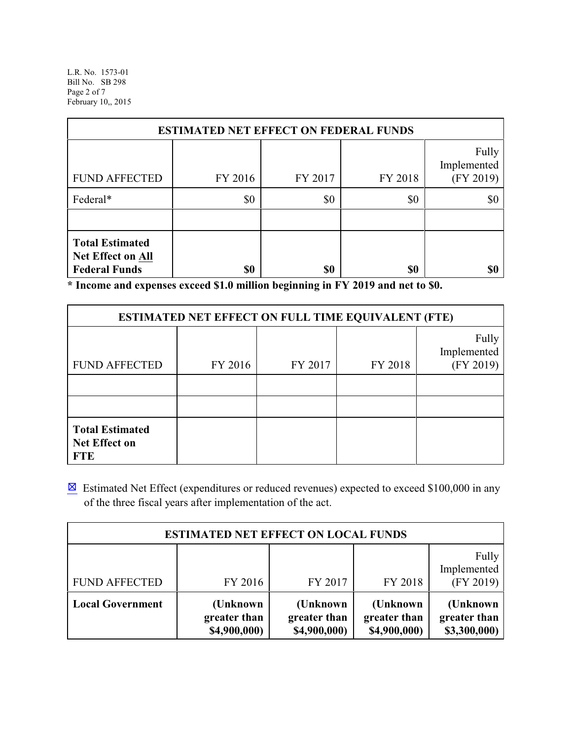L.R. No. 1573-01 Bill No. SB 298 Page 2 of 7 February 10,, 2015

| <b>ESTIMATED NET EFFECT ON FEDERAL FUNDS</b>                                                           |         |         |         |                                   |  |  |
|--------------------------------------------------------------------------------------------------------|---------|---------|---------|-----------------------------------|--|--|
| <b>FUND AFFECTED</b>                                                                                   | FY 2016 | FY 2017 | FY 2018 | Fully<br>Implemented<br>(FY 2019) |  |  |
| Federal*                                                                                               | \$0     | \$0     | \$0     | \$0                               |  |  |
|                                                                                                        |         |         |         |                                   |  |  |
| <b>Total Estimated</b><br><b>Net Effect on All</b><br><b>Federal Funds</b><br>\$0<br>\$0<br>\$0<br>\$0 |         |         |         |                                   |  |  |

**\* Income and expenses exceed \$1.0 million beginning in FY 2019 and net to \$0.**

| <b>ESTIMATED NET EFFECT ON FULL TIME EQUIVALENT (FTE)</b>    |         |         |         |                                   |  |  |
|--------------------------------------------------------------|---------|---------|---------|-----------------------------------|--|--|
| <b>FUND AFFECTED</b>                                         | FY 2016 | FY 2017 | FY 2018 | Fully<br>Implemented<br>(FY 2019) |  |  |
|                                                              |         |         |         |                                   |  |  |
|                                                              |         |         |         |                                   |  |  |
| <b>Total Estimated</b><br><b>Net Effect on</b><br><b>FTE</b> |         |         |         |                                   |  |  |

 $\boxtimes$  Estimated Net Effect (expenditures or reduced revenues) expected to exceed \$100,000 in any of the three fiscal years after implementation of the act.

| <b>ESTIMATED NET EFFECT ON LOCAL FUNDS</b> |                                          |                                           |                                          |                                          |  |  |
|--------------------------------------------|------------------------------------------|-------------------------------------------|------------------------------------------|------------------------------------------|--|--|
| <b>FUND AFFECTED</b>                       | FY 2016                                  | FY 2017                                   | FY 2018                                  | Fully<br>Implemented<br>(FY 2019)        |  |  |
| <b>Local Government</b>                    | (Unknown<br>greater than<br>\$4,900,000) | (Unknown)<br>greater than<br>\$4,900,000) | (Unknown<br>greater than<br>\$4,900,000) | (Unknown<br>greater than<br>\$3,300,000) |  |  |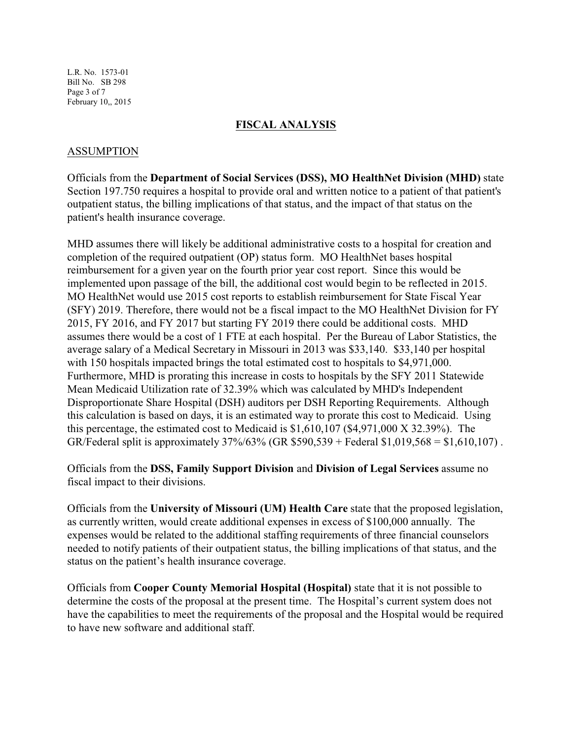L.R. No. 1573-01 Bill No. SB 298 Page 3 of 7 February 10,, 2015

#### **FISCAL ANALYSIS**

### ASSUMPTION

Officials from the **Department of Social Services (DSS), MO HealthNet Division (MHD)** state Section 197.750 requires a hospital to provide oral and written notice to a patient of that patient's outpatient status, the billing implications of that status, and the impact of that status on the patient's health insurance coverage.

MHD assumes there will likely be additional administrative costs to a hospital for creation and completion of the required outpatient (OP) status form. MO HealthNet bases hospital reimbursement for a given year on the fourth prior year cost report. Since this would be implemented upon passage of the bill, the additional cost would begin to be reflected in 2015. MO HealthNet would use 2015 cost reports to establish reimbursement for State Fiscal Year (SFY) 2019. Therefore, there would not be a fiscal impact to the MO HealthNet Division for FY 2015, FY 2016, and FY 2017 but starting FY 2019 there could be additional costs. MHD assumes there would be a cost of 1 FTE at each hospital. Per the Bureau of Labor Statistics, the average salary of a Medical Secretary in Missouri in 2013 was \$33,140. \$33,140 per hospital with 150 hospitals impacted brings the total estimated cost to hospitals to \$4,971,000. Furthermore, MHD is prorating this increase in costs to hospitals by the SFY 2011 Statewide Mean Medicaid Utilization rate of 32.39% which was calculated by MHD's Independent Disproportionate Share Hospital (DSH) auditors per DSH Reporting Requirements. Although this calculation is based on days, it is an estimated way to prorate this cost to Medicaid. Using this percentage, the estimated cost to Medicaid is \$1,610,107 (\$4,971,000 X 32.39%). The GR/Federal split is approximately  $37\%/63\%$  (GR \$590,539 + Federal \$1,019,568 = \$1,610,107).

Officials from the **DSS, Family Support Division** and **Division of Legal Services** assume no fiscal impact to their divisions.

Officials from the **University of Missouri (UM) Health Care** state that the proposed legislation, as currently written, would create additional expenses in excess of \$100,000 annually. The expenses would be related to the additional staffing requirements of three financial counselors needed to notify patients of their outpatient status, the billing implications of that status, and the status on the patient's health insurance coverage.

Officials from **Cooper County Memorial Hospital (Hospital)** state that it is not possible to determine the costs of the proposal at the present time. The Hospital's current system does not have the capabilities to meet the requirements of the proposal and the Hospital would be required to have new software and additional staff.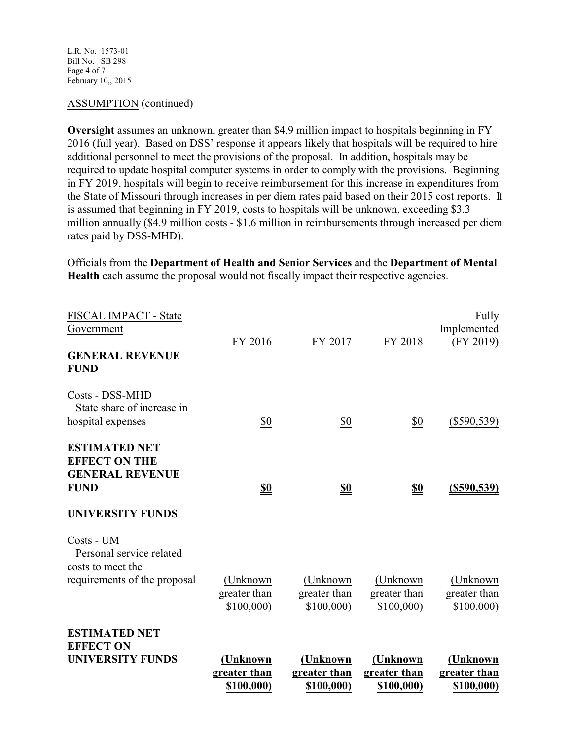### ASSUMPTION (continued)

**Oversight** assumes an unknown, greater than \$4.9 million impact to hospitals beginning in FY 2016 (full year). Based on DSS' response it appears likely that hospitals will be required to hire additional personnel to meet the provisions of the proposal. In addition, hospitals may be required to update hospital computer systems in order to comply with the provisions. Beginning in FY 2019, hospitals will begin to receive reimbursement for this increase in expenditures from the State of Missouri through increases in per diem rates paid based on their 2015 cost reports. It is assumed that beginning in FY 2019, costs to hospitals will be unknown, exceeding \$3.3 million annually (\$4.9 million costs - \$1.6 million in reimbursements through increased per diem rates paid by DSS-MHD).

Officials from the **Department of Health and Senior Services** and the **Department of Mental Health** each assume the proposal would not fiscally impact their respective agencies.

| <b>UNIVERSITY FUNDS</b>                                                                                          | (Unknown                                | (Unknown                               | (Unknown<br>greater than               | (Unknown<br>greater than               |
|------------------------------------------------------------------------------------------------------------------|-----------------------------------------|----------------------------------------|----------------------------------------|----------------------------------------|
| <b>ESTIMATED NET</b><br><b>EFFECT ON</b>                                                                         |                                         |                                        |                                        |                                        |
| Costs - UM<br>Personal service related<br>costs to meet the<br>requirements of the proposal                      | (Unknown)<br>greater than<br>\$100,000) | (Unknown)<br>greater than<br>\$100,000 | (Unknown)<br>greater than<br>\$100,000 | (Unknown<br>greater than<br>\$100,000) |
| <b>ESTIMATED NET</b><br><b>EFFECT ON THE</b><br><b>GENERAL REVENUE</b><br><b>FUND</b><br><b>UNIVERSITY FUNDS</b> | $\underline{\mathbf{S0}}$               | <u>\$0</u>                             | <u>\$0</u>                             | $(\$590,539)$                          |
| Costs - DSS-MHD<br>State share of increase in<br>hospital expenses                                               | \$0                                     | \$0                                    | \$0                                    | $(\$590,539)$                          |
| FISCAL IMPACT - State<br>Government<br><b>GENERAL REVENUE</b><br><b>FUND</b>                                     | FY 2016                                 | FY 2017                                | FY 2018                                | Fully<br>Implemented<br>(FY 2019)      |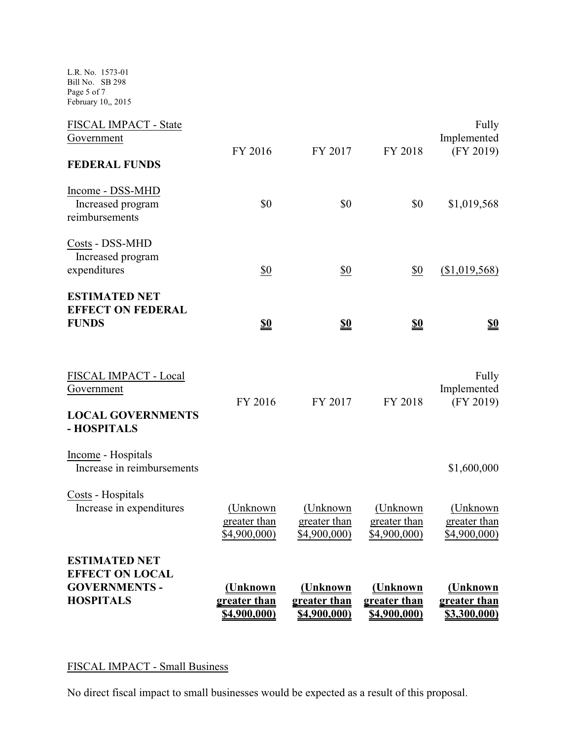L.R. No. 1573-01 Bill No. SB 298 Page 5 of 7 February 10,, 2015

| <b>GOVERNMENTS -</b><br><b>HOSPITALS</b>                         | (Unknown<br>greater than<br>\$4,900,000)  | (Unknown<br>greater than<br>\$4,900,000) | (Unknown<br>greater than<br>\$4,900,000) | (Unknown<br>greater than<br>\$3,300,000) |
|------------------------------------------------------------------|-------------------------------------------|------------------------------------------|------------------------------------------|------------------------------------------|
| <b>ESTIMATED NET</b><br><b>EFFECT ON LOCAL</b>                   |                                           |                                          |                                          |                                          |
| Costs - Hospitals<br>Increase in expenditures                    | (Unknown)<br>greater than<br>\$4,900,000) | (Unknown<br>greater than<br>\$4,900,000  | (Unknown<br>greater than<br>\$4,900,000) | (Unknown<br>greater than<br>\$4,900,000) |
| - HOSPITALS<br>Income - Hospitals<br>Increase in reimbursements  |                                           |                                          |                                          | \$1,600,000                              |
| FISCAL IMPACT - Local<br>Government<br><b>LOCAL GOVERNMENTS</b>  | FY 2016                                   | FY 2017                                  | FY 2018                                  | Fully<br>Implemented<br>(FY 2019)        |
| <b>ESTIMATED NET</b><br><b>EFFECT ON FEDERAL</b><br><b>FUNDS</b> | <u>\$0</u>                                | <u>\$0</u>                               | <u>\$0</u>                               | <u>\$0</u>                               |
| Costs - DSS-MHD<br>Increased program<br>expenditures             | \$0                                       | \$0                                      | \$0                                      | (\$1,019,568)                            |
| Income - DSS-MHD<br>Increased program<br>reimbursements          | \$0                                       | \$0                                      | \$0                                      | \$1,019,568                              |
| FISCAL IMPACT - State<br>Government<br><b>FEDERAL FUNDS</b>      | FY 2016                                   | FY 2017                                  | FY 2018                                  | Fully<br>Implemented<br>(FY 2019)        |

### FISCAL IMPACT - Small Business

No direct fiscal impact to small businesses would be expected as a result of this proposal.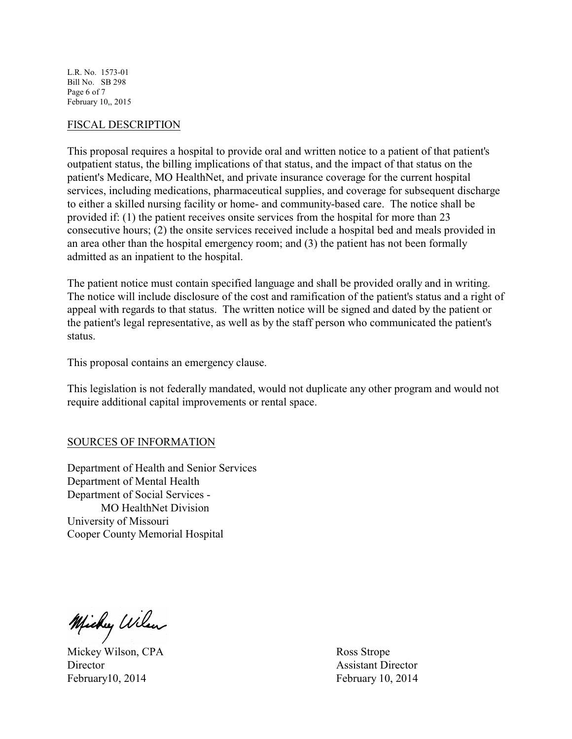L.R. No. 1573-01 Bill No. SB 298 Page 6 of 7 February 10,, 2015

#### FISCAL DESCRIPTION

This proposal requires a hospital to provide oral and written notice to a patient of that patient's outpatient status, the billing implications of that status, and the impact of that status on the patient's Medicare, MO HealthNet, and private insurance coverage for the current hospital services, including medications, pharmaceutical supplies, and coverage for subsequent discharge to either a skilled nursing facility or home- and community-based care. The notice shall be provided if: (1) the patient receives onsite services from the hospital for more than 23 consecutive hours; (2) the onsite services received include a hospital bed and meals provided in an area other than the hospital emergency room; and (3) the patient has not been formally admitted as an inpatient to the hospital.

The patient notice must contain specified language and shall be provided orally and in writing. The notice will include disclosure of the cost and ramification of the patient's status and a right of appeal with regards to that status. The written notice will be signed and dated by the patient or the patient's legal representative, as well as by the staff person who communicated the patient's status.

This proposal contains an emergency clause.

This legislation is not federally mandated, would not duplicate any other program and would not require additional capital improvements or rental space.

### SOURCES OF INFORMATION

Department of Health and Senior Services Department of Mental Health Department of Social Services - MO HealthNet Division University of Missouri Cooper County Memorial Hospital

Michy Wilson

Mickey Wilson, CPA Ross Strope Director Assistant Director Assistant Director February 10, 2014 February 10, 2014